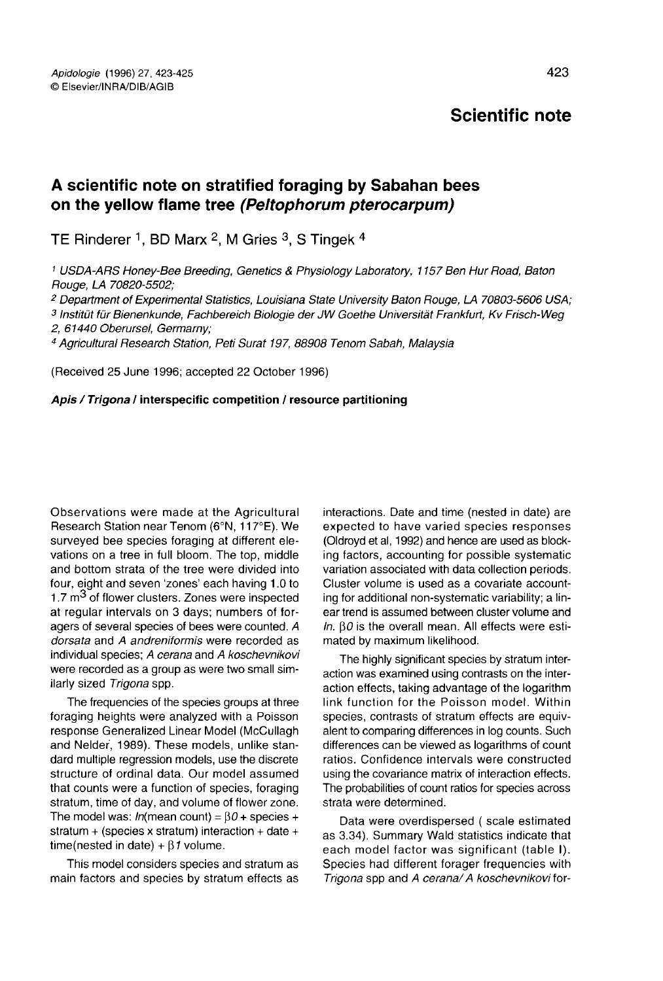# Scientific note

## A scientific note on stratified foraging by Sabahan bees on the yellow flame tree (Peltophorum pferocarpum)

TE Rinderer <sup>1</sup>, BD Marx <sup>2</sup>, M Gries <sup>3</sup>, S Tingek <sup>4</sup>

<sup>1</sup> USDA-ARS Honey-Bee Breeding, Genetics & Physiology Laboratory, 1157 Ben Hur Road, Baton Rouge, LA 70820-5502;

<sup>2</sup> Department of Experimental Statistics, Louisiana State University Baton Rouge, LA 70803-5606 USA;

<sup>3</sup> Institüt für Bienenkunde, Fachbereich Biologie der JW Goethe Universität Frankfurt, Kv Frisch-Weg 2, 61440 Oberursel, Germarny;

<sup>4</sup> Agricultural Research Station, Peti Surat 197, 88908 Tenom Sabah, Malaysia

(Received 25 June 1996; accepted 22 October 1996)

#### Apis / Trigona / interspecific competition / resource partitioning

Observations were made at the Agricultural Research Station near Tenom (6°N, 117°E). We surveyed bee species foraging at different elevations on a tree in full bloom. The top, middle and bottom strata of the tree were divided into four, eight and seven 'zones' each having 1.0 to 1.7  $m<sup>3</sup>$  of flower clusters. Zones were inspected at regular intervals on 3 days; numbers of foragers of several species of bees were counted. A dorsata and A andreniformis were recorded as individual species; A cerana and A koschevnikovi were recorded as a group as were two small similarly sized Trigona spp.

The frequencies of the species groups at three foraging heights were analyzed with a Poisson response Generalized Linear Model (McCullagh and Neider, 1989). These models, unlike standard multiple regression models, use the discrete structure of ordinal data. Our model assumed that counts were a function of species, foraging stratum, time of day, and volume of flower zone. The model was:  $ln(mean count) = \beta0 + species +$ stratum + (species x stratum) interaction + date + time(nested in date) +  $\beta$ 1 volume.

This model considers species and stratum as main factors and species by stratum effects as interactions. Date and time (nested in date) are expected to have varied species responses (Oldroyd et al, 1992) and hence are used as blocking factors, accounting for possible systematic variation associated with data collection periods. Cluster volume is used as a covariate accounting for additional non-systematic variability; a linear trend is assumed between cluster volume and In. β0 is the overall mean. All effects were estimated by maximum likelihood.

The highly significant species by stratum interaction was examined using contrasts on the interaction effects, taking advantage of the logarithm link function for the Poisson model. Within species, contrasts of stratum effects are equivalent to comparing differences in log counts. Such differences can be viewed as logarithms of count ratios. Confidence intervals were constructed using the covariance matrix of interaction effects. The probabilities of count ratios for species across strata were determined.

Data were overdispersed ( scale estimated as 3.34). Summary Wald statistics indicate that each model factor was significant (table I). Species had different forager frequencies with Trigona spp and A cerana/ A koschevnikovi for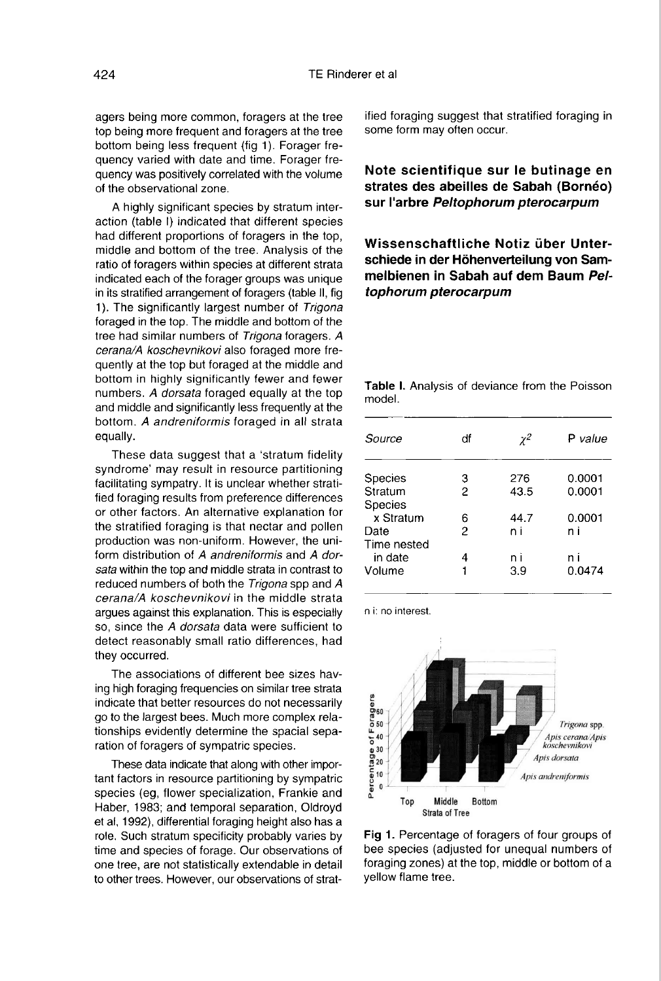agers being more common, foragers at the tree top being more frequent and foragers at the tree bottom being less frequent (fig 1). Forager frequency varied with date and time. Forager frequency was positively correlated with the volume of the observational zone.

A highly significant species by stratum interaction (table I) indicated that different species had different proportions of foragers in the top, middle and bottom of the tree. Analysis of the ratio of foragers within species at different strata indicated each of the forager groups was unique in its stratified arrangement of foragers (table II, fig 1). The significantly largest number of Trigona foraged in the top. The middle and bottom of the tree had similar numbers of Trigona foragers. A cerana/A koschevnikovi also foraged more frequently at the top but foraged at the middle and bottom in highly significantly fewer and fewer numbers. A dorsata foraged equally at the top and middle and significantly less frequently at the bottom. A andreniformis foraged in all strata equally.

These data suggest that a 'stratum fidelity syndrome' may result in resource partitioning facilitating sympatry. It is unclear whether stratified foraging results from preference differences or other factors. An alternative explanation for the stratified foraging is that nectar and pollen production was non-uniform. However, the uniform distribution of A andreniformis and A dorsata within the top and middle strata in contrast to reduced numbers of both the Trigona spp and A cerana/A koschevnikovi in the middle strata argues against this explanation. This is especially so, since the A dorsata data were sufficient to detect reasonably small ratio differences, had they occurred.

The associations of different bee sizes having high foraging frequencies on similar tree strata indicate that better resources do not necessarily go to the largest bees. Much more complex relationships evidently determine the spacial separation of foragers of sympatric species.

These data indicate that along with other impor tant factors in resource partitioning by sympatric species (eg, flower specialization, Frankie and Haber, 1983; and temporal separation, Oldroyd et al, 1992), differential foraging height also has a role. Such stratum specificity probably varies by time and species of forage. Our observations of one tree, are not statistically extendable in detail to other trees. However, our observations of strat-

ified foraging suggest that stratified foraging in some form may often occur.

#### Note scientifique sur le butinage en strates des abeilles de Sabah (Bornéo) sur l'arbre Peltophorum pterocarpum

### Wissenschaftliche Notiz über Unterschiede in der Höhenverteilung von Sammelbienen in Sabah auf dem Baum Peltophorum pterocarpum

| Source         | df | γ2   | P value |
|----------------|----|------|---------|
| <b>Species</b> | 3  | 276  | 0.0001  |
| Stratum        | 2  | 43.5 | 0.0001  |
| Species        |    |      |         |
| x Stratum      | 6  | 44.7 | 0.0001  |
| Date           | 2  | n i  | n i     |
| Time nested    |    |      |         |
| in date        | 4  | n i  | n i     |
| Volume         |    | 3.9  | 0.0474  |

Table I. Analysis of deviance from the Poisson

n i: no interest.

model.



Fig 1. Percentage of foragers of four groups of bee species (adjusted for unequal numbers of foraging zones) at the top, middle or bottom of a vellow flame tree.